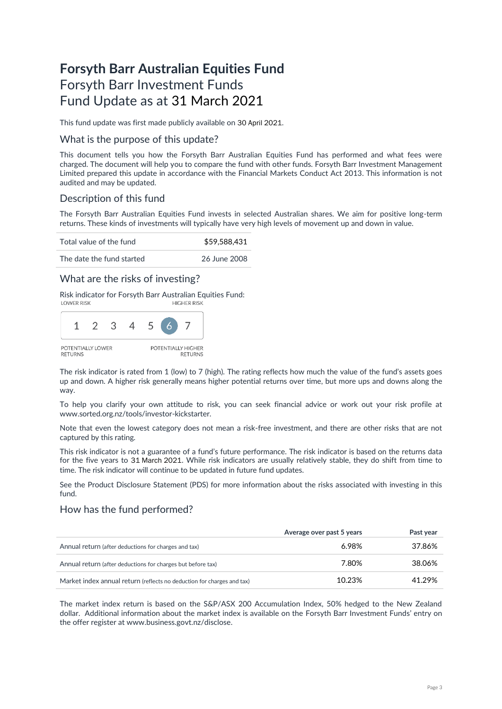# **Forsyth Barr Australian Equities Fund** Forsyth Barr Investment Funds Fund Update as at 31 March 2021

This fund update was first made publicly available on 30 April 2021.

### What is the purpose of this update?

This document tells you how the Forsyth Barr Australian Equities Fund has performed and what fees were charged. The document will help you to compare the fund with other funds. Forsyth Barr Investment Management Limited prepared this update in accordance with the Financial Markets Conduct Act 2013. This information is not audited and may be updated.

# Description of this fund

The Forsyth Barr Australian Equities Fund invests in selected Australian shares. We aim for positive long-term returns. These kinds of investments will typically have very high levels of movement up and down in value.

Total value of the fund  $$59,588,431$ 

The date the fund started 26 June 2008

### What are the risks of investing?

Risk indicator for Forsyth Barr Australian Equities Fund:<br>HIGHER RISK



The risk indicator is rated from 1 (low) to 7 (high). The rating reflects how much the value of the fund's assets goes up and down. A higher risk generally means higher potential returns over time, but more ups and downs along the way.

To help you clarify your own attitude to risk, you can seek financial advice or work out your risk profile at [www.sorted.org.nz/tools/investor-kickstarter.](http://www.sorted.org.nz/tools/investor-kickstarter) 

Note that even the lowest category does not mean a risk-free investment, and there are other risks that are not captured by this rating.

This risk indicator is not a guarantee of a fund's future performance. The risk indicator is based on the returns data for the five years to 31 March 2021. While risk indicators are usually relatively stable, they do shift from time to time. The risk indicator will continue to be updated in future fund updates.

See the Product Disclosure Statement (PDS) for more information about the risks associated with investing in this fund.

### How has the fund performed?

|                                                                        | Average over past 5 years | Past year |
|------------------------------------------------------------------------|---------------------------|-----------|
| Annual return (after deductions for charges and tax)                   | 6.98%                     | 37.86%    |
| Annual return (after deductions for charges but before tax)            | 7.80%                     | 38.06%    |
| Market index annual return (reflects no deduction for charges and tax) | 10.23%                    | 41.29%    |

The market index return is based on the S&P/ASX 200 Accumulation Index, 50% hedged to the New Zealand dollar. Additional information about the market index is available on the Forsyth Barr Investment Funds' entry on the offer register at [www.business.govt.nz/disclose.](http://www.business.govt.nz/disclose)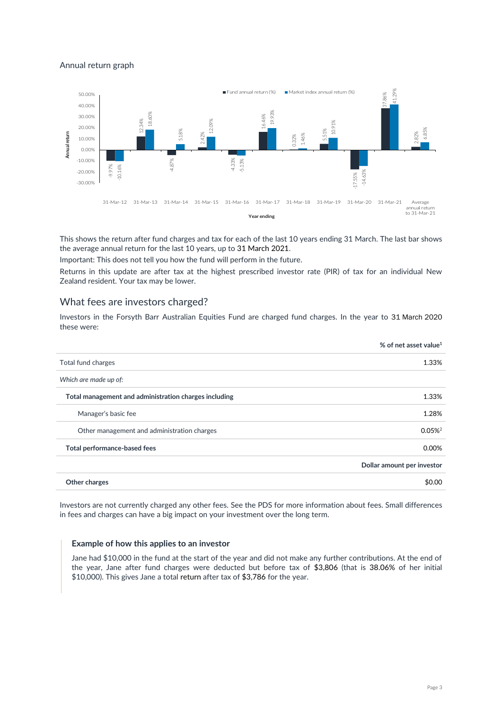### Annual return graph



This shows the return after fund charges and tax for each of the last 10 years ending 31 March. The last bar shows the average annual return for the last 10 years, up to 31 March 2021.

Important: This does not tell you how the fund will perform in the future.

Returns in this update are after tax at the highest prescribed investor rate (PIR) of tax for an individual New Zealand resident. Your tax may be lower.

### What fees are investors charged?

Investors in the Forsyth Barr Australian Equities Fund are charged fund charges. In the year to 31 March 2020 these were:

|                                                       | % of net asset value <sup>1</sup> |
|-------------------------------------------------------|-----------------------------------|
| Total fund charges                                    | 1.33%                             |
| Which are made up of:                                 |                                   |
| Total management and administration charges including | 1.33%                             |
| Manager's basic fee                                   | 1.28%                             |
| Other management and administration charges           | $0.05\%$ <sup>2</sup>             |
| Total performance-based fees                          | 0.00%                             |
|                                                       | Dollar amount per investor        |
| Other charges                                         | \$0.00                            |

Investors are not currently charged any other fees. See the PDS for more information about fees. Small differences in fees and charges can have a big impact on your investment over the long term.

#### **Example of how this applies to an investor**

Jane had \$10,000 in the fund at the start of the year and did not make any further contributions. At the end of the year, Jane after fund charges were deducted but before tax of \$3,806 (that is 38.06% of her initial \$10,000). This gives Jane a total return after tax of \$3,786 for the year.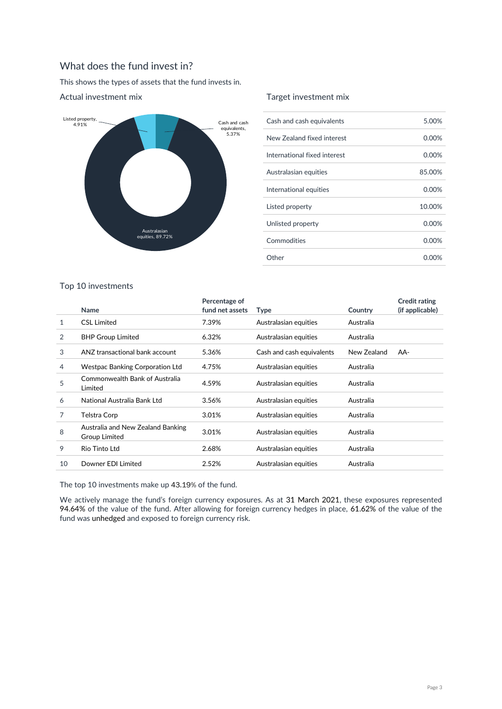# What does the fund invest in?

This shows the types of assets that the fund invests in.



### Actual investment mix

### Target investment mix

| Cash and cash equivalents    | 5.00%    |
|------------------------------|----------|
| New Zealand fixed interest   | 0.00%    |
| International fixed interest | $0.00\%$ |
| Australasian equities        | 85.00%   |
| International equities       | 0.00%    |
| Listed property              | 10.00%   |
| Unlisted property            | 0.00%    |
| Commodities                  | $0.00\%$ |
| Other                        | റ ററ%    |

### Top 10 investments

|    | Name                                               | Percentage of<br>fund net assets | Type                      | Country     | <b>Credit rating</b><br>(if applicable) |
|----|----------------------------------------------------|----------------------------------|---------------------------|-------------|-----------------------------------------|
| 1  | <b>CSL Limited</b>                                 | 7.39%                            | Australasian equities     | Australia   |                                         |
| 2  | <b>BHP Group Limited</b>                           | 6.32%                            | Australasian equities     | Australia   |                                         |
| 3  | ANZ transactional bank account                     | 5.36%                            | Cash and cash equivalents | New Zealand | AA-                                     |
| 4  | Westpac Banking Corporation Ltd                    | 4.75%                            | Australasian equities     | Australia   |                                         |
| 5  | Commonwealth Bank of Australia<br>Limited          | 4.59%                            | Australasian equities     | Australia   |                                         |
| 6  | National Australia Bank Ltd                        | 3.56%                            | Australasian equities     | Australia   |                                         |
| 7  | Telstra Corp                                       | 3.01%                            | Australasian equities     | Australia   |                                         |
| 8  | Australia and New Zealand Banking<br>Group Limited | 3.01%                            | Australasian equities     | Australia   |                                         |
| 9  | Rio Tinto Ltd                                      | 2.68%                            | Australasian equities     | Australia   |                                         |
| 10 | Downer EDI Limited                                 | 2.52%                            | Australasian equities     | Australia   |                                         |

The top 10 investments make up 43.19% of the fund.

We actively manage the fund's foreign currency exposures. As at 31 March 2021, these exposures represented 94.64% of the value of the fund. After allowing for foreign currency hedges in place, 61.62% of the value of the fund was unhedged and exposed to foreign currency risk.